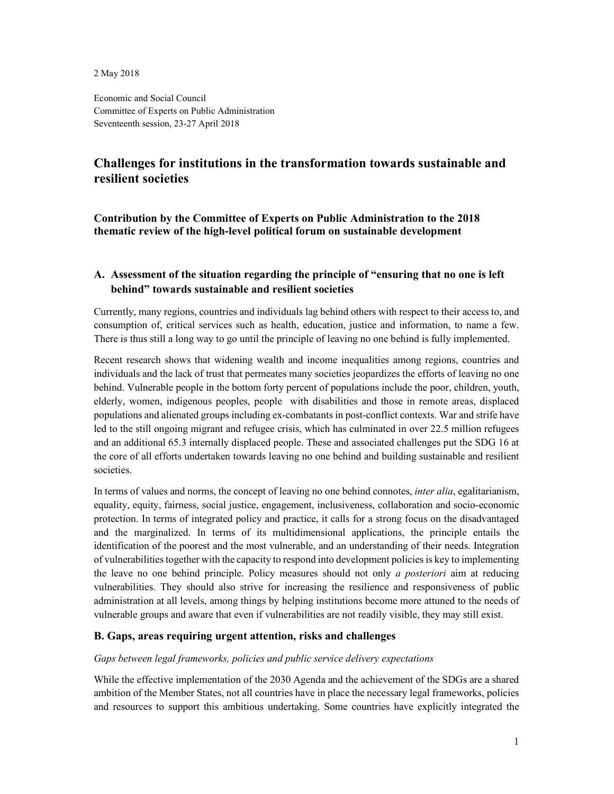2 May 2018

Economic and Social Council Committee of Experts on Public Administration Seventeenth session, 23-27 April 2018

# **Challenges for institutions in the transformation towards sustainable and resilient societies**

**Contribution by the Committee of Experts on Public Administration to the 2018 thematic review of the high-level political forum on sustainable development** 

## **A. Assessment of the situation regarding the principle of "ensuring that no one is left behind" towards sustainable and resilient societies**

Currently, many regions, countries and individuals lag behind others with respect to their access to, and consumption of, critical services such as health, education, justice and information, to name a few. There is thus still a long way to go until the principle of leaving no one behind is fully implemented.

Recent research shows that widening wealth and income inequalities among regions, countries and individuals and the lack of trust that permeates many societies jeopardizes the efforts of leaving no one behind. Vulnerable people in the bottom forty percent of populations include the poor, children, youth, elderly, women, indigenous peoples, people with disabilities and those in remote areas, displaced populations and alienated groups including ex-combatants in post-conflict contexts. War and strife have led to the still ongoing migrant and refugee crisis, which has culminated in over 22.5 million refugees and an additional 65.3 internally displaced people. These and associated challenges put the SDG 16 at the core of all efforts undertaken towards leaving no one behind and building sustainable and resilient societies.

In terms of values and norms, the concept of leaving no one behind connotes, *inter alia*, egalitarianism, equality, equity, fairness, social justice, engagement, inclusiveness, collaboration and socio-economic protection. In terms of integrated policy and practice, it calls for a strong focus on the disadvantaged and the marginalized. In terms of its multidimensional applications, the principle entails the identification of the poorest and the most vulnerable, and an understanding of their needs. Integration of vulnerabilities together with the capacity to respond into development policies is key to implementing the leave no one behind principle. Policy measures should not only *a posteriori* aim at reducing vulnerabilities. They should also strive for increasing the resilience and responsiveness of public administration at all levels, among things by helping institutions become more attuned to the needs of vulnerable groups and aware that even if vulnerabilities are not readily visible, they may still exist.

## **B. Gaps, areas requiring urgent attention, risks and challenges**

## *Gaps between legal frameworks, policies and public service delivery expectations*

While the effective implementation of the 2030 Agenda and the achievement of the SDGs are a shared ambition of the Member States, not all countries have in place the necessary legal frameworks, policies and resources to support this ambitious undertaking. Some countries have explicitly integrated the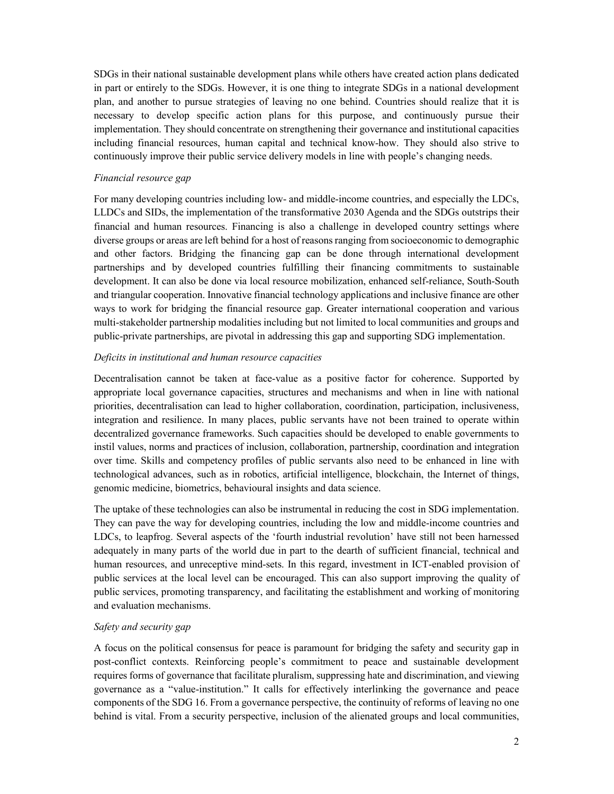SDGs in their national sustainable development plans while others have created action plans dedicated in part or entirely to the SDGs. However, it is one thing to integrate SDGs in a national development plan, and another to pursue strategies of leaving no one behind. Countries should realize that it is necessary to develop specific action plans for this purpose, and continuously pursue their implementation. They should concentrate on strengthening their governance and institutional capacities including financial resources, human capital and technical know-how. They should also strive to continuously improve their public service delivery models in line with people's changing needs.

#### *Financial resource gap*

For many developing countries including low- and middle-income countries, and especially the LDCs, LLDCs and SIDs, the implementation of the transformative 2030 Agenda and the SDGs outstrips their financial and human resources. Financing is also a challenge in developed country settings where diverse groups or areas are left behind for a host of reasons ranging from socioeconomic to demographic and other factors. Bridging the financing gap can be done through international development partnerships and by developed countries fulfilling their financing commitments to sustainable development. It can also be done via local resource mobilization, enhanced self-reliance, South-South and triangular cooperation. Innovative financial technology applications and inclusive finance are other ways to work for bridging the financial resource gap. Greater international cooperation and various multi-stakeholder partnership modalities including but not limited to local communities and groups and public-private partnerships, are pivotal in addressing this gap and supporting SDG implementation.

#### *Deficits in institutional and human resource capacities*

Decentralisation cannot be taken at face-value as a positive factor for coherence. Supported by appropriate local governance capacities, structures and mechanisms and when in line with national priorities, decentralisation can lead to higher collaboration, coordination, participation, inclusiveness, integration and resilience. In many places, public servants have not been trained to operate within decentralized governance frameworks. Such capacities should be developed to enable governments to instil values, norms and practices of inclusion, collaboration, partnership, coordination and integration over time. Skills and competency profiles of public servants also need to be enhanced in line with technological advances, such as in robotics, artificial intelligence, blockchain, the Internet of things, genomic medicine, biometrics, behavioural insights and data science.

The uptake of these technologies can also be instrumental in reducing the cost in SDG implementation. They can pave the way for developing countries, including the low and middle-income countries and LDCs, to leapfrog. Several aspects of the 'fourth industrial revolution' have still not been harnessed adequately in many parts of the world due in part to the dearth of sufficient financial, technical and human resources, and unreceptive mind-sets. In this regard, investment in ICT-enabled provision of public services at the local level can be encouraged. This can also support improving the quality of public services, promoting transparency, and facilitating the establishment and working of monitoring and evaluation mechanisms.

## *Safety and security gap*

A focus on the political consensus for peace is paramount for bridging the safety and security gap in post-conflict contexts. Reinforcing people's commitment to peace and sustainable development requires forms of governance that facilitate pluralism, suppressing hate and discrimination, and viewing governance as a "value-institution." It calls for effectively interlinking the governance and peace components of the SDG 16. From a governance perspective, the continuity of reforms of leaving no one behind is vital. From a security perspective, inclusion of the alienated groups and local communities,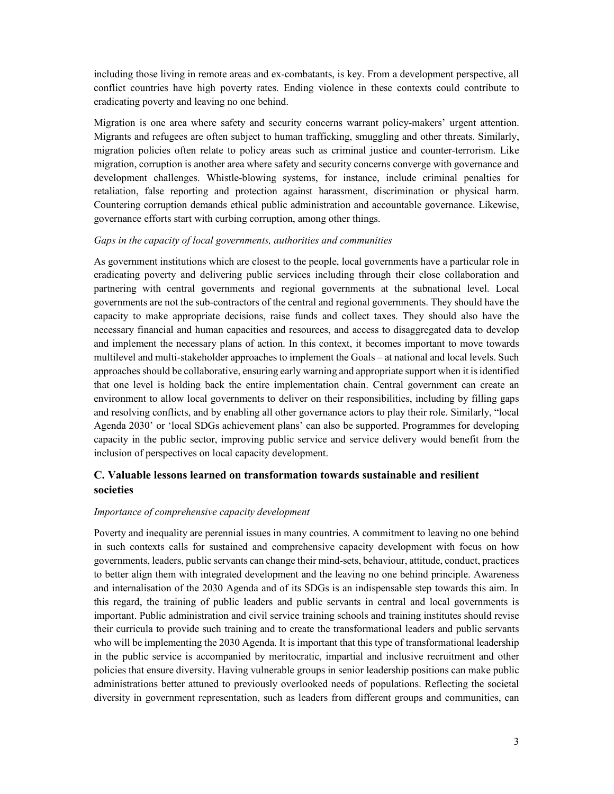including those living in remote areas and ex-combatants, is key. From a development perspective, all conflict countries have high poverty rates. Ending violence in these contexts could contribute to eradicating poverty and leaving no one behind.

Migration is one area where safety and security concerns warrant policy-makers' urgent attention. Migrants and refugees are often subject to human trafficking, smuggling and other threats. Similarly, migration policies often relate to policy areas such as criminal justice and counter-terrorism. Like migration, corruption is another area where safety and security concerns converge with governance and development challenges. Whistle-blowing systems, for instance, include criminal penalties for retaliation, false reporting and protection against harassment, discrimination or physical harm. Countering corruption demands ethical public administration and accountable governance. Likewise, governance efforts start with curbing corruption, among other things.

#### *Gaps in the capacity of local governments, authorities and communities*

As government institutions which are closest to the people, local governments have a particular role in eradicating poverty and delivering public services including through their close collaboration and partnering with central governments and regional governments at the subnational level. Local governments are not the sub-contractors of the central and regional governments. They should have the capacity to make appropriate decisions, raise funds and collect taxes. They should also have the necessary financial and human capacities and resources, and access to disaggregated data to develop and implement the necessary plans of action. In this context, it becomes important to move towards multilevel and multi-stakeholder approaches to implement the Goals – at national and local levels. Such approaches should be collaborative, ensuring early warning and appropriate support when it is identified that one level is holding back the entire implementation chain. Central government can create an environment to allow local governments to deliver on their responsibilities, including by filling gaps and resolving conflicts, and by enabling all other governance actors to play their role. Similarly, "local Agenda 2030' or 'local SDGs achievement plans' can also be supported. Programmes for developing capacity in the public sector, improving public service and service delivery would benefit from the inclusion of perspectives on local capacity development.

## **C. Valuable lessons learned on transformation towards sustainable and resilient societies**

#### *Importance of comprehensive capacity development*

Poverty and inequality are perennial issues in many countries. A commitment to leaving no one behind in such contexts calls for sustained and comprehensive capacity development with focus on how governments, leaders, public servants can change their mind-sets, behaviour, attitude, conduct, practices to better align them with integrated development and the leaving no one behind principle. Awareness and internalisation of the 2030 Agenda and of its SDGs is an indispensable step towards this aim. In this regard, the training of public leaders and public servants in central and local governments is important. Public administration and civil service training schools and training institutes should revise their curricula to provide such training and to create the transformational leaders and public servants who will be implementing the 2030 Agenda. It is important that this type of transformational leadership in the public service is accompanied by meritocratic, impartial and inclusive recruitment and other policies that ensure diversity. Having vulnerable groups in senior leadership positions can make public administrations better attuned to previously overlooked needs of populations. Reflecting the societal diversity in government representation, such as leaders from different groups and communities, can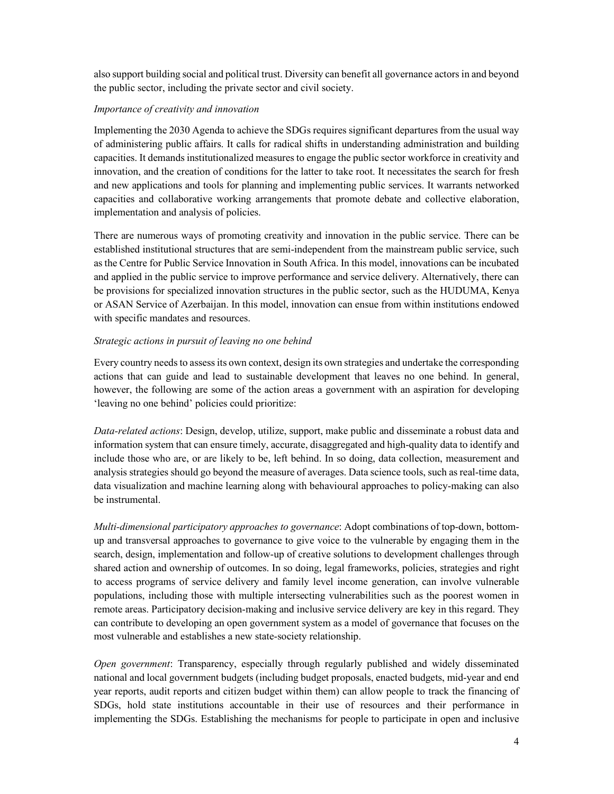also support building social and political trust. Diversity can benefit all governance actors in and beyond the public sector, including the private sector and civil society.

#### *Importance of creativity and innovation*

Implementing the 2030 Agenda to achieve the SDGs requires significant departures from the usual way of administering public affairs. It calls for radical shifts in understanding administration and building capacities. It demands institutionalized measures to engage the public sector workforce in creativity and innovation, and the creation of conditions for the latter to take root. It necessitates the search for fresh and new applications and tools for planning and implementing public services. It warrants networked capacities and collaborative working arrangements that promote debate and collective elaboration, implementation and analysis of policies.

There are numerous ways of promoting creativity and innovation in the public service. There can be established institutional structures that are semi-independent from the mainstream public service, such as the Centre for Public Service Innovation in South Africa. In this model, innovations can be incubated and applied in the public service to improve performance and service delivery. Alternatively, there can be provisions for specialized innovation structures in the public sector, such as the HUDUMA, Kenya or ASAN Service of Azerbaijan. In this model, innovation can ensue from within institutions endowed with specific mandates and resources.

#### *Strategic actions in pursuit of leaving no one behind*

Every country needs to assess its own context, design its own strategies and undertake the corresponding actions that can guide and lead to sustainable development that leaves no one behind. In general, however, the following are some of the action areas a government with an aspiration for developing 'leaving no one behind' policies could prioritize:

*Data-related actions*: Design, develop, utilize, support, make public and disseminate a robust data and information system that can ensure timely, accurate, disaggregated and high-quality data to identify and include those who are, or are likely to be, left behind. In so doing, data collection, measurement and analysis strategies should go beyond the measure of averages. Data science tools, such as real-time data, data visualization and machine learning along with behavioural approaches to policy-making can also be instrumental.

*Multi-dimensional participatory approaches to governance*: Adopt combinations of top-down, bottomup and transversal approaches to governance to give voice to the vulnerable by engaging them in the search, design, implementation and follow-up of creative solutions to development challenges through shared action and ownership of outcomes. In so doing, legal frameworks, policies, strategies and right to access programs of service delivery and family level income generation, can involve vulnerable populations, including those with multiple intersecting vulnerabilities such as the poorest women in remote areas. Participatory decision-making and inclusive service delivery are key in this regard. They can contribute to developing an open government system as a model of governance that focuses on the most vulnerable and establishes a new state-society relationship.

*Open government*: Transparency, especially through regularly published and widely disseminated national and local government budgets (including budget proposals, enacted budgets, mid-year and end year reports, audit reports and citizen budget within them) can allow people to track the financing of SDGs, hold state institutions accountable in their use of resources and their performance in implementing the SDGs. Establishing the mechanisms for people to participate in open and inclusive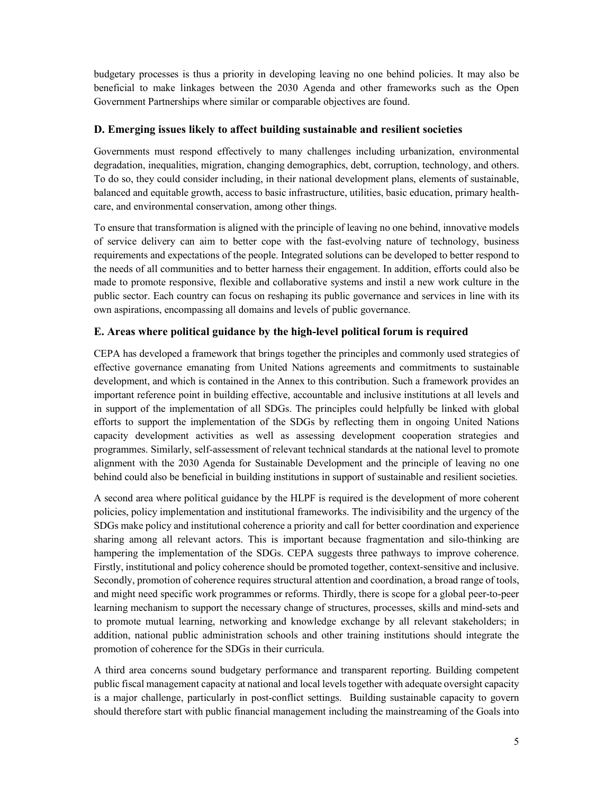budgetary processes is thus a priority in developing leaving no one behind policies. It may also be beneficial to make linkages between the 2030 Agenda and other frameworks such as the Open Government Partnerships where similar or comparable objectives are found.

## **D. Emerging issues likely to affect building sustainable and resilient societies**

Governments must respond effectively to many challenges including urbanization, environmental degradation, inequalities, migration, changing demographics, debt, corruption, technology, and others. To do so, they could consider including, in their national development plans, elements of sustainable, balanced and equitable growth, access to basic infrastructure, utilities, basic education, primary healthcare, and environmental conservation, among other things.

To ensure that transformation is aligned with the principle of leaving no one behind, innovative models of service delivery can aim to better cope with the fast-evolving nature of technology, business requirements and expectations of the people. Integrated solutions can be developed to better respond to the needs of all communities and to better harness their engagement. In addition, efforts could also be made to promote responsive, flexible and collaborative systems and instil a new work culture in the public sector. Each country can focus on reshaping its public governance and services in line with its own aspirations, encompassing all domains and levels of public governance.

## **E. Areas where political guidance by the high-level political forum is required**

CEPA has developed a framework that brings together the principles and commonly used strategies of effective governance emanating from United Nations agreements and commitments to sustainable development, and which is contained in the Annex to this contribution. Such a framework provides an important reference point in building effective, accountable and inclusive institutions at all levels and in support of the implementation of all SDGs. The principles could helpfully be linked with global efforts to support the implementation of the SDGs by reflecting them in ongoing United Nations capacity development activities as well as assessing development cooperation strategies and programmes. Similarly, self-assessment of relevant technical standards at the national level to promote alignment with the 2030 Agenda for Sustainable Development and the principle of leaving no one behind could also be beneficial in building institutions in support of sustainable and resilient societies.

A second area where political guidance by the HLPF is required is the development of more coherent policies, policy implementation and institutional frameworks. The indivisibility and the urgency of the SDGs make policy and institutional coherence a priority and call for better coordination and experience sharing among all relevant actors. This is important because fragmentation and silo-thinking are hampering the implementation of the SDGs. CEPA suggests three pathways to improve coherence. Firstly, institutional and policy coherence should be promoted together, context-sensitive and inclusive. Secondly, promotion of coherence requires structural attention and coordination, a broad range of tools, and might need specific work programmes or reforms. Thirdly, there is scope for a global peer-to-peer learning mechanism to support the necessary change of structures, processes, skills and mind-sets and to promote mutual learning, networking and knowledge exchange by all relevant stakeholders; in addition, national public administration schools and other training institutions should integrate the promotion of coherence for the SDGs in their curricula.

A third area concerns sound budgetary performance and transparent reporting. Building competent public fiscal management capacity at national and local levels together with adequate oversight capacity is a major challenge, particularly in post-conflict settings. Building sustainable capacity to govern should therefore start with public financial management including the mainstreaming of the Goals into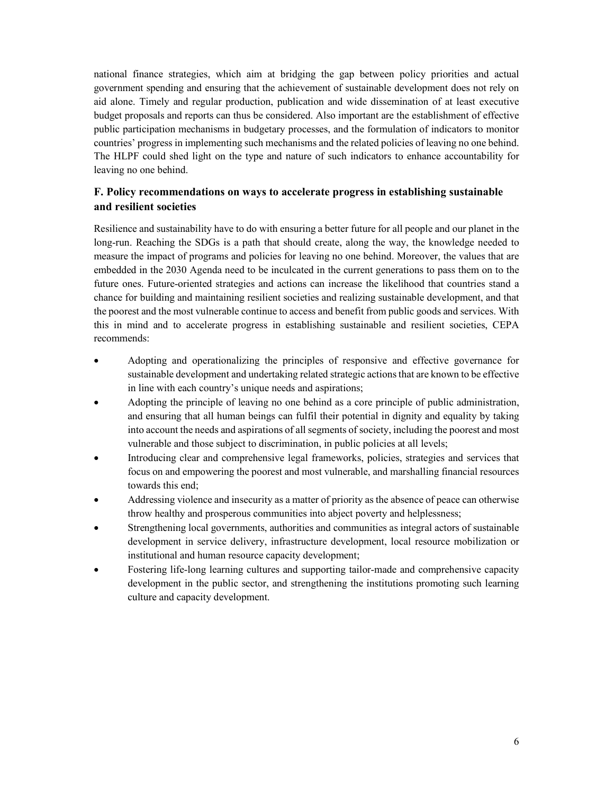national finance strategies, which aim at bridging the gap between policy priorities and actual government spending and ensuring that the achievement of sustainable development does not rely on aid alone. Timely and regular production, publication and wide dissemination of at least executive budget proposals and reports can thus be considered. Also important are the establishment of effective public participation mechanisms in budgetary processes, and the formulation of indicators to monitor countries' progress in implementing such mechanisms and the related policies of leaving no one behind. The HLPF could shed light on the type and nature of such indicators to enhance accountability for leaving no one behind.

## **F. Policy recommendations on ways to accelerate progress in establishing sustainable and resilient societies**

Resilience and sustainability have to do with ensuring a better future for all people and our planet in the long-run. Reaching the SDGs is a path that should create, along the way, the knowledge needed to measure the impact of programs and policies for leaving no one behind. Moreover, the values that are embedded in the 2030 Agenda need to be inculcated in the current generations to pass them on to the future ones. Future-oriented strategies and actions can increase the likelihood that countries stand a chance for building and maintaining resilient societies and realizing sustainable development, and that the poorest and the most vulnerable continue to access and benefit from public goods and services. With this in mind and to accelerate progress in establishing sustainable and resilient societies, CEPA recommends:

- Adopting and operationalizing the principles of responsive and effective governance for sustainable development and undertaking related strategic actions that are known to be effective in line with each country's unique needs and aspirations;
- Adopting the principle of leaving no one behind as a core principle of public administration, and ensuring that all human beings can fulfil their potential in dignity and equality by taking into account the needs and aspirations of all segments of society, including the poorest and most vulnerable and those subject to discrimination, in public policies at all levels;
- Introducing clear and comprehensive legal frameworks, policies, strategies and services that focus on and empowering the poorest and most vulnerable, and marshalling financial resources towards this end;
- Addressing violence and insecurity as a matter of priority as the absence of peace can otherwise throw healthy and prosperous communities into abject poverty and helplessness;
- Strengthening local governments, authorities and communities as integral actors of sustainable development in service delivery, infrastructure development, local resource mobilization or institutional and human resource capacity development;
- Fostering life-long learning cultures and supporting tailor-made and comprehensive capacity development in the public sector, and strengthening the institutions promoting such learning culture and capacity development.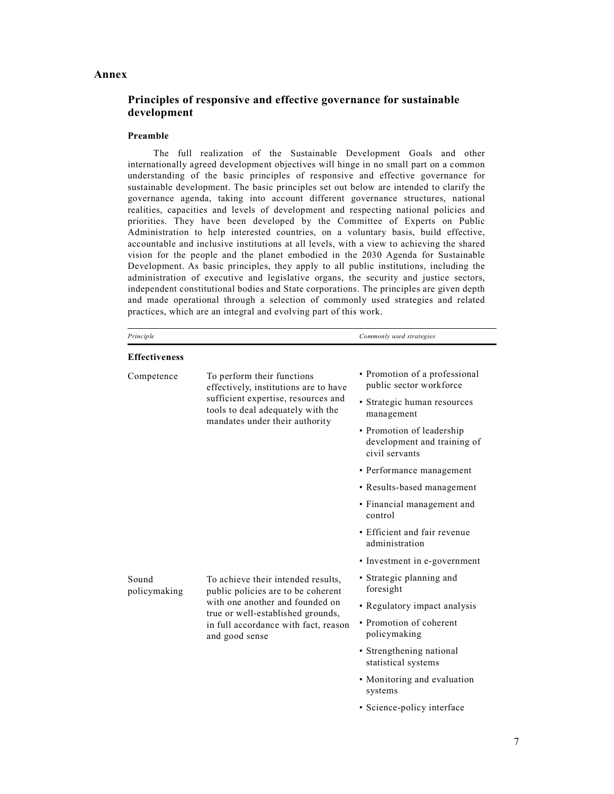#### **Annex**

## **Principles of responsive and effective governance for sustainable development**

#### **Preamble**

 The full realization of the Sustainable Development Goals and other internationally agreed development objectives will hinge in no small part on a common understanding of the basic principles of responsive and effective governance for sustainable development. The basic principles set out below are intended to clarify the governance agenda, taking into account different governance structures, national realities, capacities and levels of development and respecting national policies and priorities. They have been developed by the Committee of Experts on Public Administration to help interested countries, on a voluntary basis, build effective, accountable and inclusive institutions at all levels, with a view to achieving the shared vision for the people and the planet embodied in the 2030 Agenda for Sustainable Development. As basic principles, they apply to all public institutions, including the administration of executive and legislative organs, the security and justice sectors, independent constitutional bodies and State corporations. The principles are given depth and made operational through a selection of commonly used strategies and related practices, which are an integral and evolving part of this work.

| Principle             |                                                                                                                                                                                                            | Commonly used strategies                                                   |  |  |
|-----------------------|------------------------------------------------------------------------------------------------------------------------------------------------------------------------------------------------------------|----------------------------------------------------------------------------|--|--|
| <b>Effectiveness</b>  |                                                                                                                                                                                                            |                                                                            |  |  |
| Competence            | To perform their functions<br>effectively, institutions are to have<br>sufficient expertise, resources and<br>tools to deal adequately with the<br>mandates under their authority                          | • Promotion of a professional<br>public sector workforce                   |  |  |
|                       |                                                                                                                                                                                                            | • Strategic human resources<br>management                                  |  |  |
|                       |                                                                                                                                                                                                            | • Promotion of leadership<br>development and training of<br>civil servants |  |  |
|                       |                                                                                                                                                                                                            | • Performance management                                                   |  |  |
|                       |                                                                                                                                                                                                            | • Results-based management                                                 |  |  |
|                       |                                                                                                                                                                                                            | • Financial management and<br>control                                      |  |  |
|                       |                                                                                                                                                                                                            | • Efficient and fair revenue<br>administration                             |  |  |
|                       |                                                                                                                                                                                                            | • Investment in e-government                                               |  |  |
| Sound<br>policymaking | To achieve their intended results,<br>public policies are to be coherent<br>with one another and founded on<br>true or well-established grounds,<br>in full accordance with fact, reason<br>and good sense | • Strategic planning and<br>foresight                                      |  |  |
|                       |                                                                                                                                                                                                            | • Regulatory impact analysis                                               |  |  |
|                       |                                                                                                                                                                                                            | • Promotion of coherent<br>policymaking                                    |  |  |
|                       |                                                                                                                                                                                                            | • Strengthening national<br>statistical systems                            |  |  |
|                       |                                                                                                                                                                                                            | • Monitoring and evaluation<br>systems                                     |  |  |

• Science-policy interface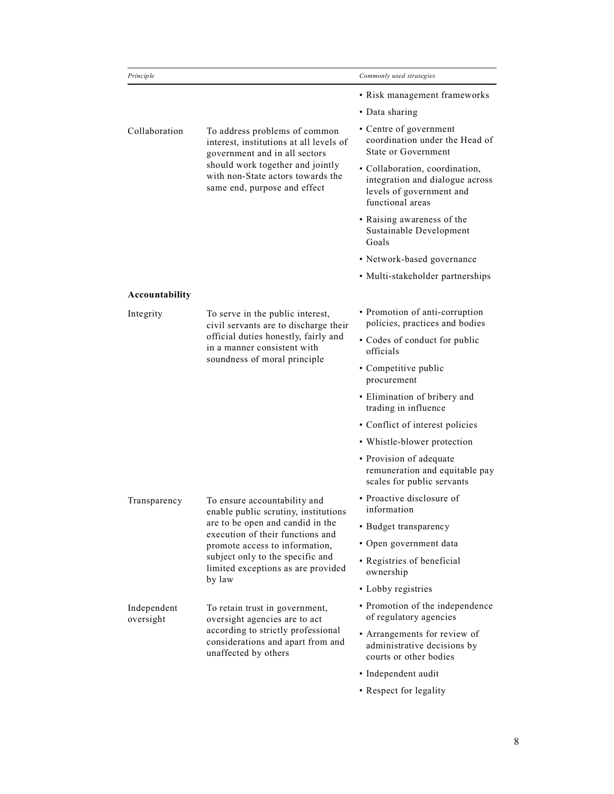| Principle                |                                                                                                                                                                                                                                                                    | Commonly used strategies                                                                                          |
|--------------------------|--------------------------------------------------------------------------------------------------------------------------------------------------------------------------------------------------------------------------------------------------------------------|-------------------------------------------------------------------------------------------------------------------|
|                          |                                                                                                                                                                                                                                                                    | • Risk management frameworks                                                                                      |
|                          |                                                                                                                                                                                                                                                                    | • Data sharing                                                                                                    |
| Collaboration            | To address problems of common<br>interest, institutions at all levels of<br>government and in all sectors<br>should work together and jointly<br>with non-State actors towards the<br>same end, purpose and effect                                                 | • Centre of government<br>coordination under the Head of<br><b>State or Government</b>                            |
|                          |                                                                                                                                                                                                                                                                    | · Collaboration, coordination,<br>integration and dialogue across<br>levels of government and<br>functional areas |
|                          |                                                                                                                                                                                                                                                                    | • Raising awareness of the<br>Sustainable Development<br>Goals                                                    |
|                          |                                                                                                                                                                                                                                                                    | • Network-based governance                                                                                        |
|                          |                                                                                                                                                                                                                                                                    | • Multi-stakeholder partnerships                                                                                  |
| Accountability           |                                                                                                                                                                                                                                                                    |                                                                                                                   |
| Integrity                | To serve in the public interest,<br>civil servants are to discharge their<br>official duties honestly, fairly and<br>in a manner consistent with<br>soundness of moral principle                                                                                   | • Promotion of anti-corruption<br>policies, practices and bodies                                                  |
|                          |                                                                                                                                                                                                                                                                    | • Codes of conduct for public<br>officials                                                                        |
|                          |                                                                                                                                                                                                                                                                    | • Competitive public<br>procurement                                                                               |
|                          |                                                                                                                                                                                                                                                                    | • Elimination of bribery and<br>trading in influence                                                              |
|                          |                                                                                                                                                                                                                                                                    | • Conflict of interest policies                                                                                   |
|                          |                                                                                                                                                                                                                                                                    | • Whistle-blower protection                                                                                       |
|                          |                                                                                                                                                                                                                                                                    | • Provision of adequate<br>remuneration and equitable pay<br>scales for public servants                           |
| Transparency             | To ensure accountability and<br>enable public scrutiny, institutions<br>are to be open and candid in the<br>execution of their functions and<br>promote access to information,<br>subject only to the specific and<br>limited exceptions as are provided<br>by law | • Proactive disclosure of<br>information                                                                          |
|                          |                                                                                                                                                                                                                                                                    | • Budget transparency                                                                                             |
|                          |                                                                                                                                                                                                                                                                    | • Open government data                                                                                            |
|                          |                                                                                                                                                                                                                                                                    | • Registries of beneficial<br>ownership                                                                           |
|                          |                                                                                                                                                                                                                                                                    | • Lobby registries                                                                                                |
| Independent<br>oversight | To retain trust in government,<br>oversight agencies are to act<br>according to strictly professional<br>considerations and apart from and<br>unaffected by others                                                                                                 | • Promotion of the independence<br>of regulatory agencies                                                         |
|                          |                                                                                                                                                                                                                                                                    | • Arrangements for review of<br>administrative decisions by<br>courts or other bodies                             |
|                          |                                                                                                                                                                                                                                                                    | · Independent audit                                                                                               |
|                          |                                                                                                                                                                                                                                                                    | • Respect for legality                                                                                            |